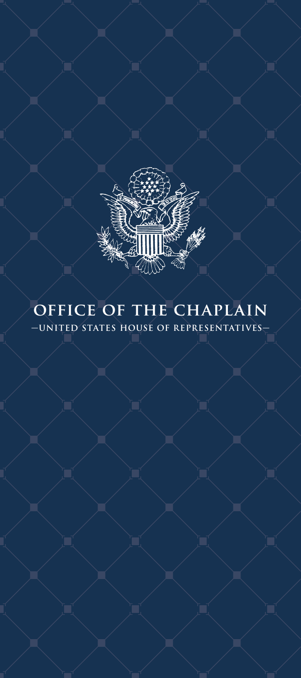

# **office of the chaplain —UNITED STATES HOUSE OF REPRESENTATIVES—**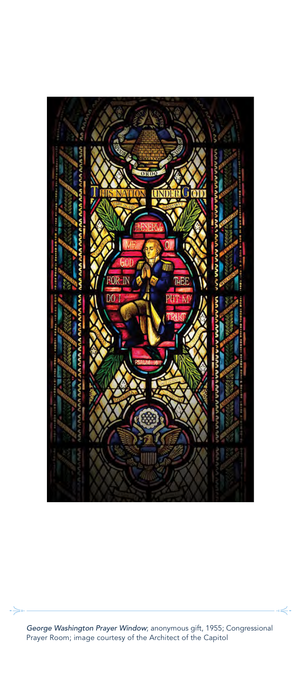

*George Washington Prayer Window*; anonymous gift, 1955; Congressional Prayer Room; image courtesy of the Architect of the Capitol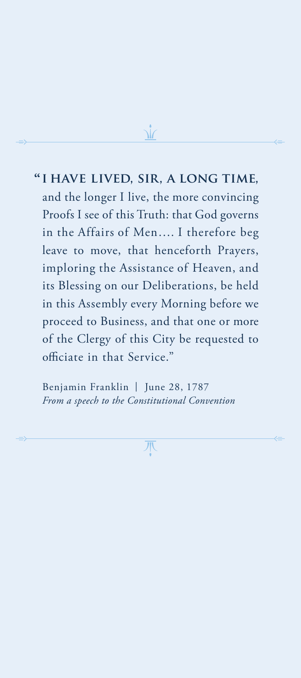# **i have lived, sir, a long time, "** and the longer I live, the more convincing Proofs I see of this Truth: that God governs in the Affairs of Men…. I therefore beg leave to move, that henceforth Prayers, imploring the Assistance of Heaven, and its Blessing on our Deliberations, be held in this Assembly every Morning before we proceed to Business, and that one or more of the Clergy of this City be requested to officiate in that Service."

Benjamin Franklin | June 28, 1787 *From a speech to the Constitutional Convention*

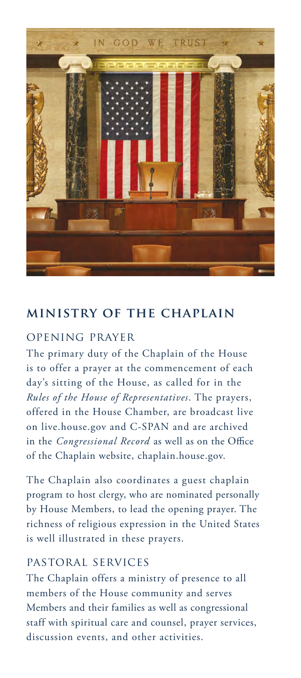

## **ministry of the chaplain**

### opening prayer

The primary duty of the Chaplain of the House is to offer a prayer at the commencement of each day's sitting of the House, as called for in the *Rules of the House of Representatives*. The prayers, offered in the House Chamber, are broadcast live on live.house.gov and C-SPAN and are archived in the *Congressional Record* as well as on the Office of the Chaplain website, chaplain.house.gov.

The Chaplain also coordinates a guest chaplain program to host clergy, who are nominated personally by House Members, to lead the opening prayer. The richness of religious expression in the United States is well illustrated in these prayers.

#### pastoral services

The Chaplain offers a ministry of presence to all members of the House community and serves Members and their families as well as congressional staff with spiritual care and counsel, prayer services, discussion events, and other activities.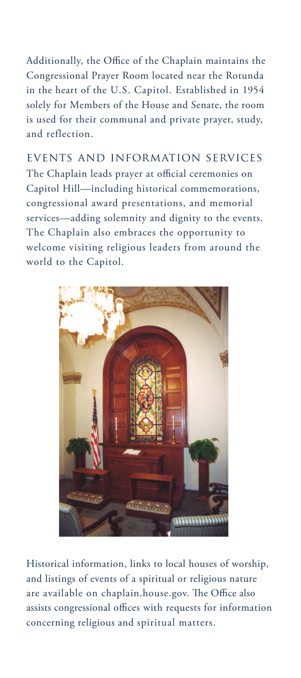Additionally, the Office of the Chaplain maintains the Congressional Prayer Room located near the Rotunda in the heart of the U.S. Capitol. Established in 1954 solely for Members of the House and Senate, the room is used for their communal and private prayer, study, and reflection.

events and information services The Chaplain leads prayer at official ceremonies on Capitol Hill—including historical commemorations, congressional award presentations, and memorial services—adding solemnity and dignity to the events. The Chaplain also embraces the opportunity to welcome visiting religious leaders from around the world to the Capitol.



Historical information, links to local houses of worship, and listings of events of a spiritual or religious nature are available on chaplain.house.gov. The Office also assists congressional offices with requests for information concerning religious and spiritual matters.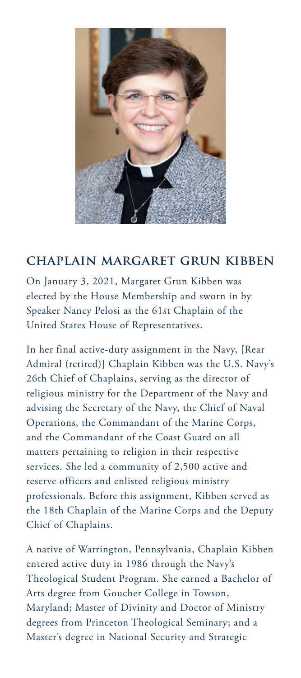

# **chaplain margaret grun kibben**

On January 3, 2021, Margaret Grun Kibben was elected by the House Membership and sworn in by Speaker Nancy Pelosi as the 61st Chaplain of the United States House of Representatives.

In her final active-duty assignment in the Navy, [Rear Admiral (retired)] Chaplain Kibben was the U.S. Navy's 26th Chief of Chaplains, serving as the director of religious ministry for the Department of the Navy and advising the Secretary of the Navy, the Chief of Naval Operations, the Commandant of the Marine Corps, and the Commandant of the Coast Guard on all matters pertaining to religion in their respective services. She led a community of 2,500 active and reserve officers and enlisted religious ministry professionals. Before this assignment, Kibben served as the 18th Chaplain of the Marine Corps and the Deputy Chief of Chaplains.

A native of Warrington, Pennsylvania, Chaplain Kibben entered active duty in 1986 through the Navy's Theological Student Program. She earned a Bachelor of Arts degree from Goucher College in Towson, Maryland; Master of Divinity and Doctor of Ministry degrees from Princeton Theological Seminary; and a Master's degree in National Security and Strategic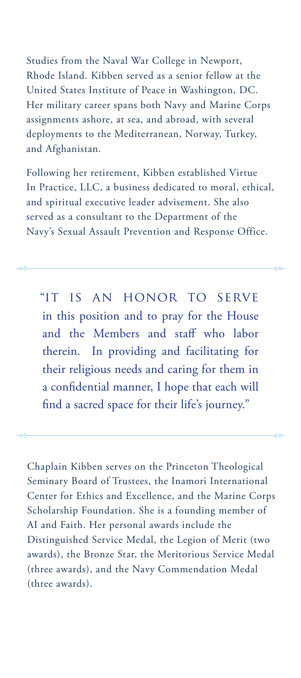Studies from the Naval War College in Newport, Rhode Island. Kibben served as a senior fellow at the United States Institute of Peace in Washington, DC. Her military career spans both Navy and Marine Corps assignments ashore, at sea, and abroad, with several deployments to the Mediterranean, Norway, Turkey, and Afghanistan.

Following her retirement, Kibben established Virtue In Practice, LLC, a business dedicated to moral, ethical, and spiritual executive leader advisement. She also served as a consultant to the Department of the Navy's Sexual Assault Prevention and Response Office.

 "it is an honor to serve in this position and to pray for the House and the Members and staff who labor therein. In providing and facilitating for their religious needs and caring for them in a confidential manner, I hope that each will find a sacred space for their life's journey."

Chaplain Kibben serves on the Princeton Theological Seminary Board of Trustees, the Inamori International Center for Ethics and Excellence, and the Marine Corps Scholarship Foundation. She is a founding member of AI and Faith. Her personal awards include the Distinguished Service Medal, the Legion of Merit (two awards), the Bronze Star, the Meritorious Service Medal (three awards), and the Navy Commendation Medal (three awards).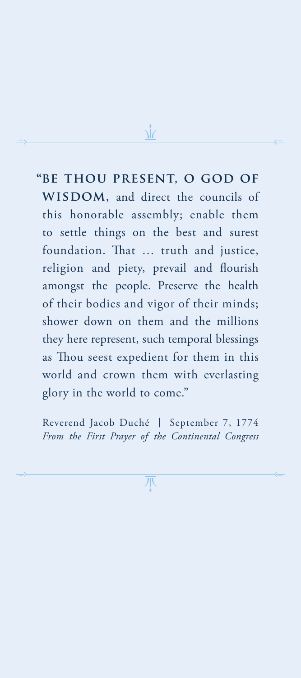*b***E THOU PRESENT, O GOD OF** WISDOM, and direct the councils of this honorable assembly; enable them to settle things on the best and surest foundation. That … truth and justice, religion and piety, prevail and flourish amongst the people. Preserve the health of their bodies and vigor of their minds; shower down on them and the millions they here represent, such temporal blessings as Thou seest expedient for them in this world and crown them with everlasting glory in the world to come."

Reverend Jacob Duché | September 7, 1774 *From the First Prayer of the Continental Congress*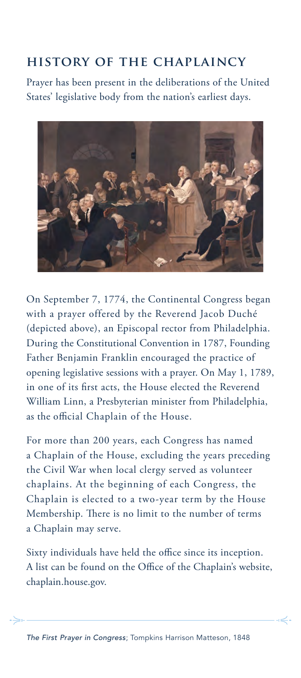# **history of the chaplaincy**

Prayer has been present in the deliberations of the United States' legislative body from the nation's earliest days.



On September 7, 1774, the Continental Congress began with a prayer offered by the Reverend Jacob Duché (depicted above), an Episcopal rector from Philadelphia. During the Constitutional Convention in 1787, Founding Father Benjamin Franklin encouraged the practice of opening legislative sessions with a prayer. On May 1, 1789, in one of its first acts, the House elected the Reverend William Linn, a Presbyterian minister from Philadelphia, as the official Chaplain of the House.

For more than 200 years, each Congress has named a Chaplain of the House, excluding the years preceding the Civil War when local clergy served as volunteer chaplains. At the beginning of each Congress, the Chaplain is elected to a two-year term by the House Membership. There is no limit to the number of terms a Chaplain may serve.

Sixty individuals have held the office since its inception. A list can be found on the Office of the Chaplain's website, chaplain.house.gov.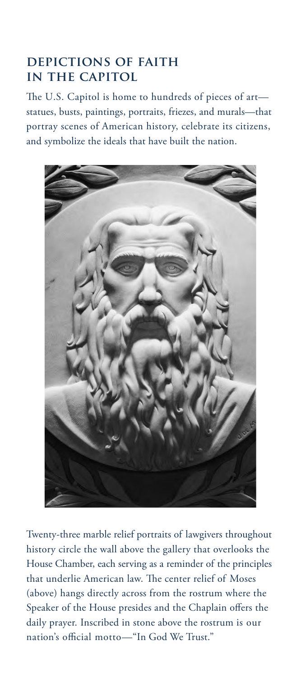# **depictions of faith in the capitol**

The U.S. Capitol is home to hundreds of pieces of art statues, busts, paintings, portraits, friezes, and murals—that portray scenes of American history, celebrate its citizens, and symbolize the ideals that have built the nation.



Twenty-three marble relief portraits of lawgivers throughout history circle the wall above the gallery that overlooks the House Chamber, each serving as a reminder of the principles that underlie American law. The center relief of Moses (above) hangs directly across from the rostrum where the Speaker of the House presides and the Chaplain offers the daily prayer. Inscribed in stone above the rostrum is our nation's official motto—"In God We Trust."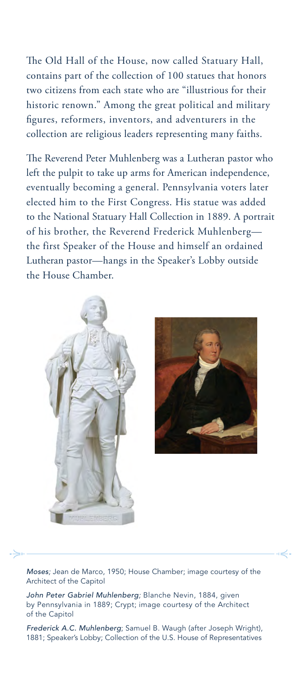The Old Hall of the House, now called Statuary Hall, contains part of the collection of 100 statues that honors two citizens from each state who are "illustrious for their historic renown." Among the great political and military figures, reformers, inventors, and adventurers in the collection are religious leaders representing many faiths.

The Reverend Peter Muhlenberg was a Lutheran pastor who left the pulpit to take up arms for American independence, eventually becoming a general. Pennsylvania voters later elected him to the First Congress. His statue was added to the National Statuary Hall Collection in 1889. A portrait of his brother, the Reverend Frederick Muhlenberg the first Speaker of the House and himself an ordained Lutheran pastor—hangs in the Speaker's Lobby outside the House Chamber.





*Moses;* Jean de Marco, 1950; House Chamber; image courtesy of the Architect of the Capitol

*John Peter Gabriel Muhlenberg;* Blanche Nevin, 1884, given by Pennsylvania in 1889; Crypt; image courtesy of the Architect of the Capitol

*Frederick A.C. Muhlenberg*; Samuel B. Waugh (after Joseph Wright), 1881; Speaker's Lobby; Collection of the U.S. House of Representatives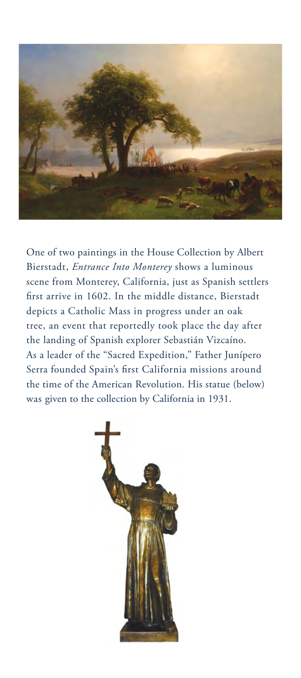

One of two paintings in the House Collection by Albert Bierstadt, *Entrance Into Monterey* shows a luminous scene from Monterey, California, just as Spanish settlers first arrive in 1602. In the middle distance, Bierstadt depicts a Catholic Mass in progress under an oak tree, an event that reportedly took place the day after the landing of Spanish explorer Sebastián Vizcaíno. As a leader of the "Sacred Expedition," Father Junípero Serra founded Spain's first California missions around the time of the American Revolution. His statue (below) was given to the collection by California in 1931.

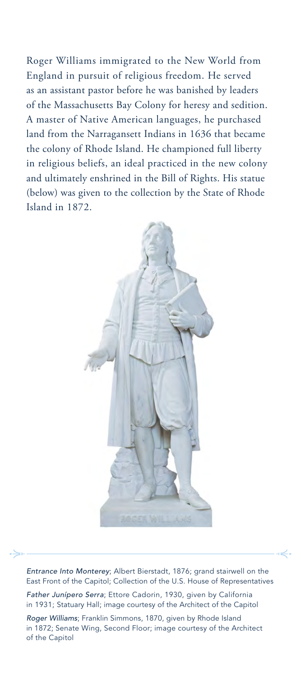Roger Williams immigrated to the New World from England in pursuit of religious freedom. He served as an assistant pastor before he was banished by leaders of the Massachusetts Bay Colony for heresy and sedition. A master of Native American languages, he purchased land from the Narragansett Indians in 1636 that became the colony of Rhode Island. He championed full liberty in religious beliefs, an ideal practiced in the new colony and ultimately enshrined in the Bill of Rights. His statue (below) was given to the collection by the State of Rhode Island in 1872.



*Entrance Into Monterey*; Albert Bierstadt, 1876; grand stairwell on the East Front of the Capitol; Collection of the U.S. House of Representatives

*Father Junípero Serra*; Ettore Cadorin, 1930, given by California in 1931; Statuary Hall; image courtesy of the Architect of the Capitol

*Roger Williams*; Franklin Simmons, 1870, given by Rhode Island in 1872; Senate Wing, Second Floor; image courtesy of the Architect of the Capitol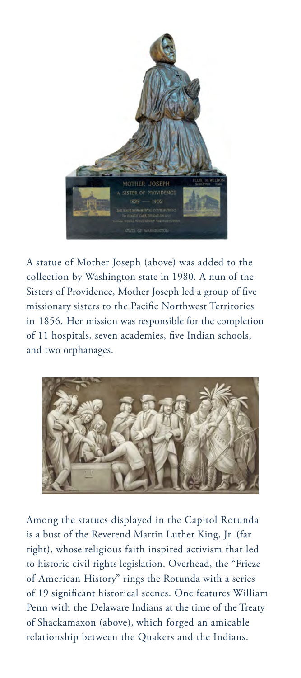

A statue of Mother Joseph (above) was added to the collection by Washington state in 1980. A nun of the Sisters of Providence, Mother Joseph led a group of five missionary sisters to the Pacific Northwest Territories in 1856. Her mission was responsible for the completion of 11 hospitals, seven academies, five Indian schools, and two orphanages.



Among the statues displayed in the Capitol Rotunda is a bust of the Reverend Martin Luther King, Jr. (far right), whose religious faith inspired activism that led to historic civil rights legislation. Overhead, the "Frieze of American History" rings the Rotunda with a series of 19 significant historical scenes. One features William Penn with the Delaware Indians at the time of the Treaty of Shackamaxon (above), which forged an amicable relationship between the Quakers and the Indians.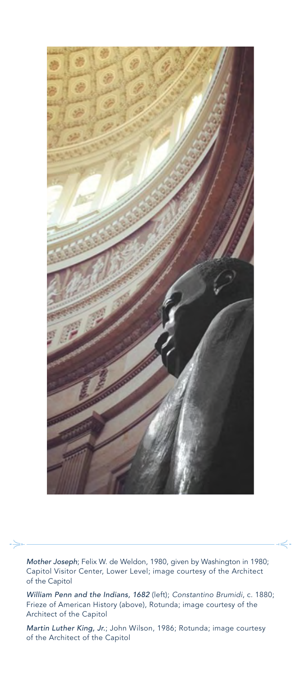

*Mother Joseph*; Felix W. de Weldon, 1980, given by Washington in 1980; Capitol Visitor Center, Lower Level; image courtesy of the Architect of the Capitol

*William Penn and the Indians, 1682* (left); *Constantino Brumidi*, c. 1880; Frieze of American History (above), Rotunda; image courtesy of the Architect of the Capitol

*Martin Luther King, Jr.*; John Wilson, 1986; Rotunda; image courtesy of the Architect of the Capitol